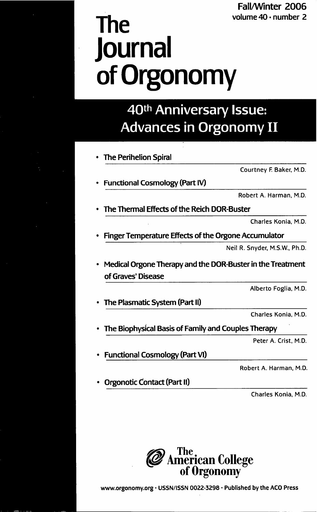## Fall/Winter 2006

# **The** volume 40 · number 2 **Journal ofOrgonomy**

## 40th Anniversary Issue: **Advances in Orgonomy II**

| <b>The Perihelion Spiral</b>                                                     |                               |
|----------------------------------------------------------------------------------|-------------------------------|
|                                                                                  | Courtney F. Baker, M.D.       |
| Functional Cosmology (Part IV)                                                   |                               |
|                                                                                  | Robert A. Harman, M.D.        |
| The Thermal Effects of the Reich DOR-Buster                                      |                               |
|                                                                                  | Charles Konia, M.D.           |
| Finger Temperature Effects of the Orgone Accumulator                             |                               |
|                                                                                  | Neil R. Snyder, M.S.W., Ph.D. |
| Medical Orgone Therapy and the DOR-Buster in the Treatment<br>of Graves' Disease |                               |
|                                                                                  | Alberto Foglia, M.D.          |
| The Plasmatic System (Part II)                                                   |                               |
|                                                                                  | Charles Konia, M.D.           |
| The Biophysical Basis of Family and Couples Therapy                              |                               |
|                                                                                  | Peter A. Crist, M.D.          |
| <b>Functional Cosmology (Part VI)</b>                                            |                               |
|                                                                                  | Robert A. Harman, M.D.        |

Orgonotic Contact (Part II)

Charles Kania, M.D.



www.orgonomy.org · USSN/ISSN 0022-3298 · Published by the ACO Press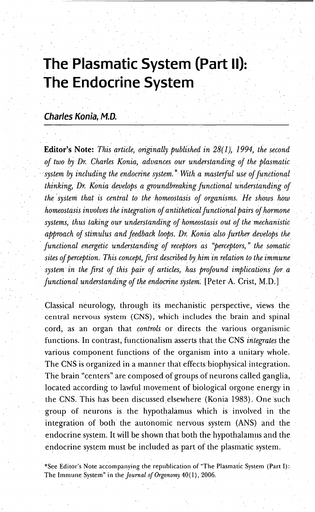## **The Plasmatic System (Part II): The Endocrine** Svstern

#### **Charles Konia, M.D.**

Editor's Note: *This article, originally published in* 28(1), 1994, the second *of two by Dr. Charles Konia, advances our understanding of the plasmatic system by including the endocrine system.*\* With a masterful use of functional thi~king, *Dr. Konia develops a groundbreaking functional understanding, of the ·system that is central to the homeostasis of organisms. He shows how homeostasis involves the integration of antithetical functional pairs of hormone systems,' thus taking our understanding of homeostasis, out of the mechanistic approach of stimulus'and feedback loops. Dr. Konia 'also further develops the , functional energetic understanding of receptors as "perceptors,* " *the somatic sites ofperception.. This concept, first described by him'inrelation totheimmune* , *system' in the first ofthis pair of articles, has profound implications for a functional understanding of the endocrine system.* [Peter A. Crist, M.D.]

Classical neurology, through its mechanistic perspective, views the central nervous system (CNS), which includes the brain and spinal cord, as an organ that *controls* or directs the various, organismic functions. In contrast, functionalism asserts that the CNS *integrates* the ' various component functions of the organism into a unitary whole. The CNS is organized in a manner that effects'biophysical integration. The brain "centers" are composed of groups of neurons called ganglia, located according to lawful movement of biological orgone energy in the CNS.This has been discussed elsewhere (Konia 1983). One such group of neurons is, the hypothalamus which is involved in the integration of both the autonomic nervous system (ANS) and the endocrine system. It will be shown that both the hypothalamus and the endocrine system must be included as part of the plasmatic system.

, \*See Editor's Note accompanying the republication of "The Plasmatic System (Part I): The Immune System" in the *Journal of Orgono*my 40(1),2006.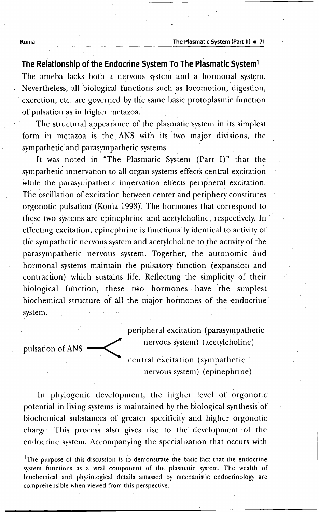. . '. **The Relationship oftheEndocrine System To The Plasmatic System1** The ameba lacks both a nervous system and a hormonal system. . Nevertheless, all biological functions such as locomotion, digestion, . excretion, etc. are governed by the same basic protoplasmic function of pulsation as in higher metazoa.

The structural appearance of the plasmatic system in its simplest form in metazoa is the ANS with its two major divisions, the sympathetic and parasympathetic systems. . .

It was noted in "The Plasmatic System (Part I)" that the sympathetic innervation to all organ systems effects central excitation. while the parasympathetic innervation effects peripheral excitation. The oscillation of excitation between center and periphery constitutes orgonotic pulsation (Konia 1993). The hormones that correspond to these two systems are epinephrine and acetylcholine, respectively. In effecting excitation, epinephrine is functionally identical to activity of the sympathetic nervous system and acetylcholine to the activity of the parasympathetic nervous system. Together, the autonomic and hormonal systems maintain the pulsatory function (expansion and contraction) which sustains life. Reflecting the simplicity of their biological function, these two hormones have the simplest biochemical structure of all the major hormones of the endocrine system.

peripheral excitation (parasympathetic -< nervous system) (acetylcholine) pulsation of ANS . central excitation (sympathetic'

nervous system) (epinephrine)

In phylogenie development, the higher level of orgonotic potential in living systems is maintained by the biological synthesis of biochemical substances of greater specificity and higher orgonotic charge. This process also gives rise to the development of the endocrine system. Accompanying the specialization that occurs with

<sup>1</sup>The purpose of this discussion is to demonstrate the basic fact that the endocrine system functions as a vital component of the plasmatic system. The wealth of biochemical and physiological details amassed by mechanistic endocrinology are comprehensible when viewed from this perspective.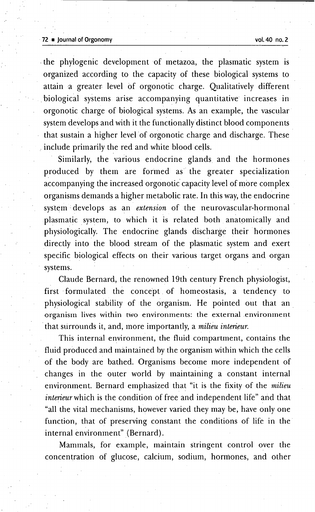#### .72 .• Journal of Orgonomy vol.40 no.2

.the phylogenic development of metazoa, the plasmatic system is organized according to the capacity of these biological systems to attain a greater level of orgonotic charge. Qualitatively different .biological systems arise accompanying quantitative increases in orgonotic charge of biological systems. As an example, the vascular system develops and with it the functionally distinct blood components that sustain a higher level of orgonotic charge and discharge. These include primarily the red and white blood cells.

Similarly, the various endocrine glands and the hormones produced by them are formed as the greater specialization accompanying the increased orgonotic capacity level of more complex organisms demands a higher metabolic rate. In this way, the endocrine system develops as an *extension* of the neurovascular-hormonal plasmatic system, to which it is related both anatomically and physiologically. The endocrine glands discharge their hormones directly into the blood stream of the plasmatic system and exert specific biological effects on their various target organs and organ systems.

Claude Bernard, the renowned 19th century French physiologist, first formulated the concept of homeostasis, a tendency to physiological stability of the organism. He pointed out that an. organism lives within two environments: the external environment .that surrounds it, and, more importantly, a *milieu interieur.*

This internal environment, the fluid compartment, contains the fluid produced and maintained by the organism within which the cells of the body are bathed. Organisms become more independent of changes in the outer world by maintaining a constant internal environment. Bernard emphasized that "it is the fixity of the *milieu interieur* which is the condition of free and independent life" and that "all the vital mechanisms, however varied they may be, have only one function, that of preserving constant the conditions of life in the' internal environment" (Bernard) .

Mammals, for example, maintain stringent control over the concentration of glucose, calcium, sodium, hormones, and other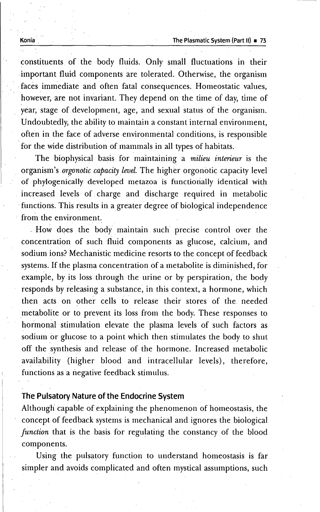constituents of the body fluids. Only small fluctuations in their .important fluid components are tolerated. Otherwise, the organism .faces. immediate and often fatal consequences. Homeostatic values, however, are not invariant. They depend on the time of day, time of year, stage of development, age, and sexual status of the organism. Undoubtedly, the ability to maintain a constant internal environment, often in the face of adverse environmental conditions, is responsible for the wide distribution of mammals in all types of habitats.

The biophysical basis for maintaining a *milieu interieur* is the organism's *orgonotic capacity level.* The higher orgonotic capacity level of phylogenically developed metazoa is functionally identical with increased levels of charge and discharge required in metabolic functions. This results in a greater degree of biological independence from the environment.

,How does the body maintain such precise control over the concentration of such fluid components as glucose, calcium, and sodium ions? Mechanistic medicine resorts to the concept of feedback systems. If the plasma concentration of a metabolite is diminished, for example, by its loss through the urine or by perspiration, the body responds by releasing a substance, in this context, a hormone, which then acts on other cells to release their stores of the needed .metabolite or to prevent its loss from the body. These responses to hormonal stimulation elevate the plasma levels of such factors as sodiuin or glucose to a point which then stimulates the body to shut off the synthesis and release of the hormone. Increased metabolic availability (higher blood and intracellular levels), therefore, functions as a negative feedback stimulus.

#### **The Pulsatory Nature of the Endocrine System**

Although capable of explaining the phenomenon of homeostasis, the concept of feedback systems is mechanical and ignores the biological *[unction* that is the basis for regulating the constancy of the blood components.

Using the pulsatory function to understand homeostasis is far simpler and avoids complicated and often mystical assumptions, such

Konia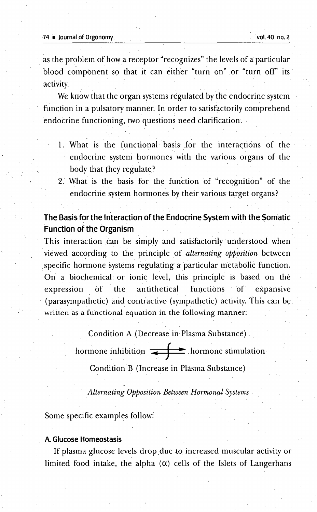#### 74 **■** Journal of Orgonomy vol. 40 no. 2

as the problem of how a receptor "recognizes" the levels of a particular blood component so that it can either "turn on" or "turn off" its activity.

We know that the organ systems regulated by the endocrine system function in a pulsatory manner, In order to satisfactorily comprehend endocrine functioning, two questions need clarification.

- 1. What is the functional basis for the interactions of the endocrine system hormones with the various organs of the body that they regulate?
- 2. What is the basis for the function of "recognition" of the endocrine system hormones by their various target organs?

#### **The Basis for the Interaction of the Endocrine System with the Somatic Function of the Organism**

This interaction can be simply and satisfactorily understood when . .viewed according to the principle of *altemating opposition* between specific hormone systems regulating a particular metabolic function. On a biochemical or ionic level, this principle is based on the expression of the antithetical functions of expansive (parasympathetic) and contractive (sympathetic) activity. This can be. written as a functional equation in the following manner:

.Condition A (Decrease in Plasma Substance)

hormone inhibition  $\leftarrow$  hormone stimulation.

Condition B (Increase in Plasma Substance)

*Alternating Opposition Between Hormonal Systems.*

Some specific examples follow:

#### **A. Glucose Homeostasis**

If plasma glucose levels drop due to increased muscular activity or limited food intake, the alpha  $(\alpha)$  cells of the Islets of Langerhans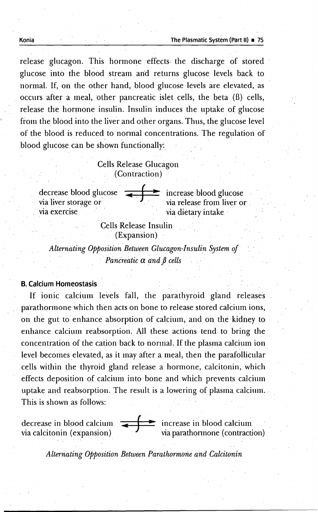release glucagon. This hormone effects, the discharge of stored glucose into the blood stream and returns glucose levels back to normal. If, on the other hand, blood glucose levels are elevated, as occurs after a meal, other pancreatic islet cells, the beta (ß) cells, release the hormone insulin. Insulin induces the uptake of glucose from the blood into the liver and other organs. Thus, the glucose level of the blood is reduced, to normal concentrations. The regulation of blood glucose can be shown functionally.

#### Cells Release Glucagon (Contraction)

decrease blood glucose  $\overline{\phantom{a}}$  increase blood glucose via liver storage or via exercise " via dietary intake.

via release from liver or

Cells Release Insulin , (Expansion)

*Alternating Opposition Between Glucagon-Insulin System of Pancreatic*  $\alpha$  *and*  $\beta$  *cells* 

#### B.Calcium Homeostasis

If ionic calcium levels fall, the parathyroid gland releases parathormone which then acts on bone to release stored calcium ions, on the gut to enhance absorption of calcium, and on the kidney to enhance calcium reabsorption. All these actions tend to bring the concentration of the cation back to normal, If the plasma calcium ion, level becomes elevated, as it may after a meal, then the parafollicular cells within the thyroid gland release a hormone, calcitonin, which effects deposition of calcium into bone and which prevents calcium uptake and reabsorption. The result is a lowering of plasma calcium, ' This is shown as follows:

decrease in blood calcium via calcitonin (expansion) increase 'in blood calcium via parathonnone (contraction)

*Alternating Opposition Between Parathormone and Calcitonin*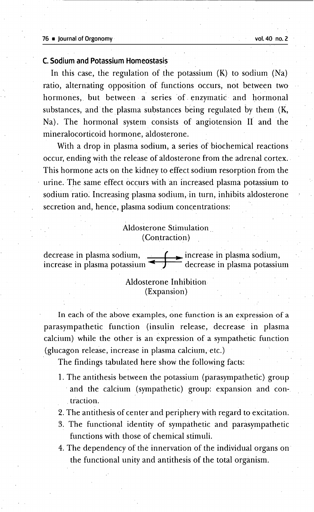#### **C. Sodium and Potassium Homeostasis**

In this case, the regulation of the potassium  $(K)$  to sodium  $(Na)$ ratio, alternating opposition of functions occurs, not between two hormones, but between a series of enzymatic and hormonal substances, and the plasma substances being regulated by them  $(K,$ Na). The hormonal system consists of angiotension II and the mineralocorticoid hormone, aldosterone.

With a drop in plasma sodium, a series of biochemical reactions occur, ending with the release of aldosterone from the adrenal cortex. This hormone acts on the kidney to effect sodium resorption from the urine. The same effect occurs with an increased plasma potassium to sodium ratio. Increasing plasma sodium, in turn, inhibits aldosterone secretion and, hence, plasma sodium concentrations:

#### Aldosterone Stimulation .. (Contraction)

decrease in plasma sodium,  $\boxed{\phantom{a}}$  increase in plasma sodium, increase in plasma potassium  $\begin{array}{c} \hline \end{array}$  decrease in plasma potassium

#### Aldosterone Inhibition (Expansion)

In each of the above examples, one function is an expression of a parasympathetic function (insulin release, decrease in plasma calcium) while the other is an expression of a sympathetic function (glucagon release, increase in plasma calcium, etc.)

The findings tabulated here show the following facts:

- 1. The antithesis between the potassium (parasympathetic) group . and the calcium (sympathetic) group: expansion and con- . traction.
- 2. The antithesis of center and periphery with regard to excitation.
- 3. The functional identity of sympathetic and parasympathetic functions with those of chemical stimuli.
- 4. The dependency of the innervation of the individual organs on the functional unity and antithesis of the total organism.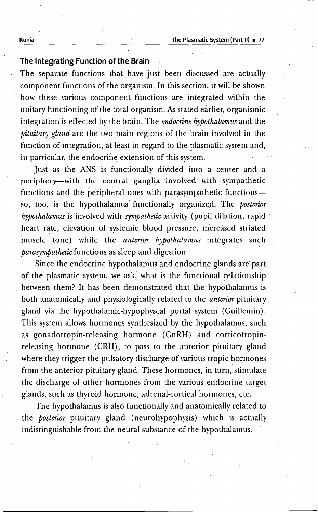#### **The Integrating Function of the Brain**

The separate functions that have just been discussed are actually component functions of the organism. In this section, it will be shown how these various component functions are integrated within the unitary functioning of the total organism. Asstated earlier, organismic integration is effected by the brain. The *endocrine hypothalamus* and the *pituitary gland* are the two main regions of the brain involved in the function of integration, at least in regard to the plasmatic system and, in particular, the endocrine extension of this system.

Just as the ANS is functionally divided into a center and a periphery-with the central ganglia involved with sympathetic functions and the peripheral ones with parasympathetic functionsso, too, is the hypothalamus functionally organized. The *posterior hypothalamus* is involved with *sympathetic* activity. (pupil dilation, rapid : heart rate, elevation of systemic blood pressure, increased striated muscle tone) while the *anterior hypothalamus* integrates such *parasympathetic* functions as sleep and digestion.

Since the endocrine hypothalamus and endocrine glands are part of the plasmatic system, we ask, what is the functional relationship . between them? It has been demonstrated that the hypothalamus is both anatomically and physiologically related to the *anterior* pituitary gland via the hypothalamic-hypophyseal portal system (Guillemin). This system allows hormones synthesized by the hypothalamus, such as gonadotropin-releasing hormone (GnRH) and corticotropinreleasing hormone (CRH), to pass to the anterior pituitary gland where they trigger the pulsatory discharge of various tropic hormones from the anterior pituitary gland. These hormones, in turn, stimulate the discharge of other hormones from the various endocrine target glands, such as thyroid hormone, adrenal-cortical hormones, etc.

The hypothalamus is also functionally and anatomically related to the *posterior* pituitary gland (neurohypophysis) which is actually indistinguishable from the neural substance of the hypothalamus.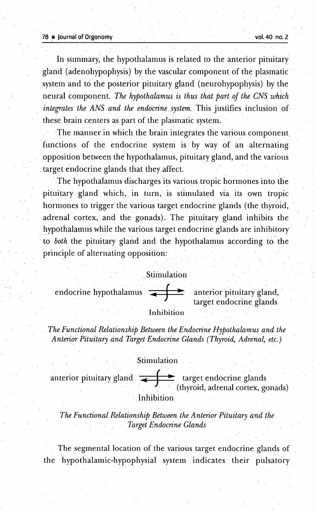#### 78 • Journal ofOrgonomy vol, 40 no;2

In summary; the hypothalamus is related to the anterior pituitary gland (adenohypophysis) by' the vascular component of the plasmatic system and to the posterior pituitary gland (neurohypophysis) by the neural component. The hypothalamus is thus that part of the CNS which *integrates the"ANS and the endocrine system.* This justifies inclusion of these brain centers as part of the plasmatic system.

, , '

The manner in which the brain integrates the various component functions of the endocrine system is by way of an alternating opposition between the hypothalamus, pituitary gland, and the various .target endocrine glands that they affect.

The hypothalamus discharges its various tropic hormones into the pituitary gland which, in turn, is stimulated via its own tropic. hormones to trigger the various target endocrine glands (the thyroid, adrenal cortex, and the gonads). The pituitary gland inhibits the hypothalamus while the various target endocrine glands are inhibitory 'to *both* the pituitary gland and the hypothalamus according to the principle of alternating opposition:

#### , Stimulation'

endocrine hypothalamus



anterior pituitary gland, target endocrine glands

#### Inhibition

*The Functional Relationship Between the Endocrine Hypothalamus and the Anterior Pituitary and Target Endocrine Glands (Thyroid,* Adrenal,etc~)

#### **Stimulation**

anterior pituitary gland  $\leftarrow \rightarrow$  target endocrine glands (thyroid, adrenal cortex, gonads) Inhibition

*The Functional RelationshipBetueen theAnterior Pituitary and the . Target Endocrine Glands*

The segmental location of the various target endocrine glands of the 'hypothalamic-hypophysial system indicates their pulsatory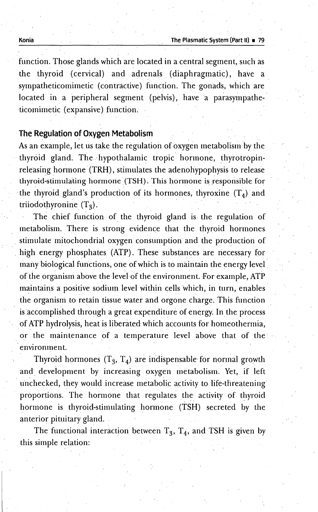function. Those glands which are located in a central segment, such as the thyroid (cervical) and adrenals (diaphragmatic), have a. sympatheticomimetic (contractive) function. The gonads, which are located in a peripheral segment (pelvis), have a parasympathe--ticomimetic (expansive) function.

#### **The Regulation** of **Oxygen Metabolism** \_ .\_

As an example, let us take the regulation of oxygen metabolism by the thyroid gland. The- hypothalamic tropic hormone, thyrotropinreleasing hormone (TRH), stimulates the adenohypophysis to release thyroid-stimulating hormone (TSH). This hormone is responsible for the thyroid gland's production of its hormones, thyroxine  $(T_4)$  and triiodothyronine  $(T_3)$ .

The chief function of the thyroid gland is the regulation of metabolism. There is strong evidence that the thyroid hormonesstimulate mitochondrial oxygen consumption and the production of high energy phosphates (ATP). These substances are necessary for many biological functions, one of which is to maintain the energy level of the organism above the level of the environment. For example, ATP maintains a positive sodium level within cells which, in turn, enables the organism to retain tissue water and orgone charge. This function is accomplished through a great expenditure of energy. In the process \_of ATP hydrolysis, heat is liberated which accounts for homeothermia, or the maintenance of a temperature level above that of the environment.

Thyroid hormones  $(T_3, T_4)$  are indispensable for normal growth and development by increasing oxygen metabolism. Yet, if left unchecked, they would increase metabolic activity to life-threateningproportions. The hormone that regulates the\_ activity of thyroid hormone is thyroid-stimulating hormone (TSH) secreted by the anterior pituitary gland.

The functional interaction between  $T_3$ ,  $T_4$ , and TSH is given by this simple relation: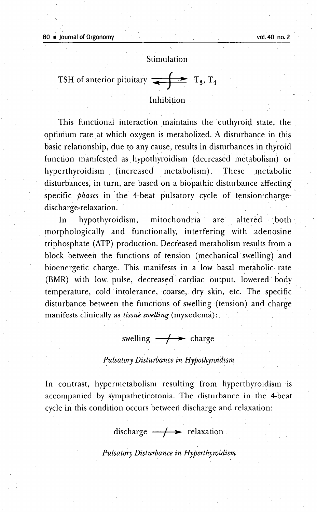#### Stimulation

| Stimulation               |                                               |
|---------------------------|-----------------------------------------------|
| TSH of anterior pituitary | $\rightarrow$ T <sub>3</sub> , T <sub>4</sub> |

#### Inhibition

This functional interaction maintains the euthyroid state, the optimum rate at which oxygen is metabolized. A disturbance in this basic relationship, due to any cause, results in disturbances in thyroid function manifested as. hypothyroidism (decreased metabolism) or. hyperthyroidism (increased metabolism). These metabolic disturbances, in turn, are based on a biopathic disturbance affecting specific *phases* in the 4-beat pulsatory cycle of tension-chargedischarge-relaxation.

In hypothyroidism, mitochondria are altered both morphologically and functionally, interfering with adenosine triphosphate (ATP) production. Decreased metabolism results from a block between the functions of tension (mechanical swelling) and bioenergetic charge. This manifests in a low basal metabolic rate (BMR) with low pulse, decreased· cardiac output, lowered body temperature, cold intolerance, coarse, dry skin, etc. The specific disturbance between the functions of swelling {tension) and charge manifests clinically as *tissue swelling* (myxedema):

### swelling  $\rightarrow$  charge

#### *Pulsatory Disturbance in Hypothyroidism*

In contrast, hypermetabolism resulting from hyperthyroidism ·is accompanied by sympatheticotonia. The disturbance in. the 4-beat cycle in this condition occurs between discharge and relaxation:

discharge  $\rightarrow$  **relaxation** 

*Pulsatory Disturbance in Hyperthyroidism·*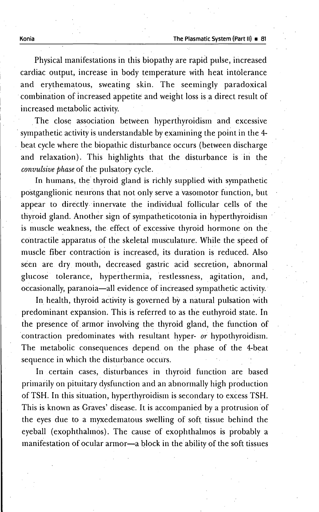Physical manifestations in this biopathy are rapid pulse, increased cardiac output, increase in body temperature with heat intolerance and erythematous, sweating skin. The seemingly paradoxical combination of increased appetite and weight loss is a direct result of increased metabolic activity.

The close association between hyperthyroidism and excessive sympathetic activity is understandable by examining the point in the 4beat cycle where the biopathic disturbance occurs (between discharge and relaxation). This highlights that the disturbance is in the *convulsive phase* of the pulsatory cycle.

In humans, the thyroid gland is richly supplied with sympathetic postganglionic neurons that not only serve a vasomotor function, but appear to directly, innervate the individual follicular cells of the thyroid gland. Another sign of sympatheticotonia in hyperthyroidism is muscle weakness, the effect of excessive thyroid hormone on the contractile apparatus of the skeletal musculature. While the speed of muscle fiber contraction is increased, its duration is reduced. Also seen are dry mouth, decreased gastric acid secretion, abnormal glucose tolerance, hyperthermia, restlessness, agitation, and, occasionally, paranoia-all evidence of increased sympathetic activity.'

In health, thyroid activity is governed by a natural pulsation with predominant expansion. This is referred to as the euthyroid state. In the presence of armor involving the thyroid gland, the function of 'contraction predominates with resultant hyper- *or* hypothyroidism. The metabolic consequences depend on the phase of the 4-beat sequence in which the disturbance occurs.

In certain cases, disturbances in thyroid function are based primarily on pituitary dysfunction and an abnormally high production of TSH. In this situation, hyperthyroidism is secondary to excess TSH. This is known as Graves' disease. It is accompanied by a protrusion of the eyes due to a myxedematous swelling of soft tissue behind the eyeball (exophthalmos). The cause of exophthalmos is probably a manifestation of ocular armor-a block in the ability of the soft tissues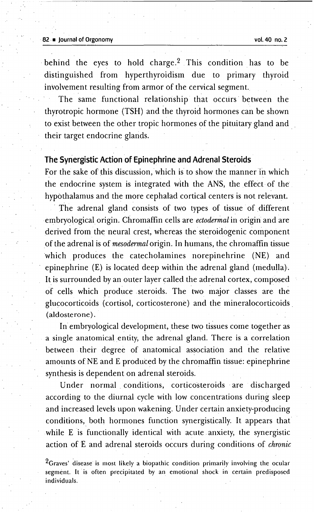#### 82 **a** Journal of Orgonomy **vol. 40 no. 2**

behind the eyes to hold charge.<sup>2</sup> This condition has to be distinguished from hyperthyroidism due to primary thyroid involvement resulting from armor of the cervical segment.

The same functional relationship that occurs between the thyrotropic hormone (TSH) and the thyroid hormones can be shown to exist between the other tropic hormones of the pituitary gland and their target endocrine glands.

#### **The Synergistic Action of Epinephrine and Adrenal Steroids**

For the sake of this discussion, which is to show the manner in which the endocrine system is integrated with the ANS, the effect of the hypothalamus and the more cephalad cortical centers is not relevant.

. The adrenal gland consists of two types of tissue of different embryological origin. Chromaffin cells are *ectodermal* in origin and are derived from the neural crest, whereas the steroidogenic component of the adrenal is of *mesodermal* origin. In humans, the chromaffin tissue which produces the catecholamines norepinehrine (NE) and epinephrine (E) is located deep within the adrenal gland (medulla). It is surrounded by an outer layer called the adrenal cortex, composed of cells which produce.steroids. The two major classes are the glucocorticoids (cortisol, corticosterone) and the mineralocorticoids (aldosterone) .

In embryological development, these two tissues come together as a single anatomical entity, the adrenal gland. There is a correlation between their degree of anatomical association and the relative amounts of NE and E produced by the chromaffin tissue: epinephrine synthesis is dependent on adrenal steroids.

Under normal. conditions, corticosteroids are discharged according to the diurnal cycle with low concentrations during sleep and increased levels upon wakening. Under certain anxiety-producing conditions; both hormones function synergistically. It appears that while E is functionally identical with acute anxiety, the synergistic action of E and adrenal steroids occurs during conditions of *chronic*

<sup>2</sup>Graves' disease is most likely a biopathic condition primarily involving the ocular segment. It is often precipitated by an emotional shock in certain predisposed individuals.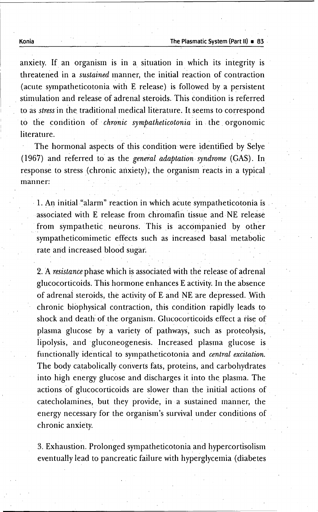Konia **The Plasmatic System (Part II) • 83** 

anxiety. If an organism is in a situation in which its integrity is threatened in a *sustained* manner, the initial reaction of contraction (acute sympatheticotonia with E release) is followed by a persistent . stimulation and release of adrenal steroids. This condition is referred to as *stress* in the traditional medical literature. It seems to correspond to the condition of· *chronic sympatheticotonia* in. the. orgonomic literature.

The hormonal aspects of this condition were identified by Selye (1967) and referred to' as the *general adaptauon syndrome* (GAS). In response to stress (chronic anxiety), the organism reacts in a typical manner:

1. An initial "alarm" reaction in which acute sympatheticotonia is associated with E release from chromafin tissue and NE release from sympathetic neurons. This is accompanied by other sympatheticomimetic effects such as increased basal metabolic rate and increased blood sugar.

2. A *resistance* phase which is associated with the release of adrenal glucocorticoids. This hormone enhances E activity. In the absence of adrenal steroids, the activity of E,and NE are depressed. With chronic biophysical contraction, this condition rapidly leads to shock and death of the organism. Glucocorticoids effect a rise of plasma glucose by a variety of pathways, such as proteolysis, lipolysis, and gluconeogenesis. Increased plasma glucose is functionally identical to sympatheticotonia and *central excitation.* The body catabolically converts fats, proteins, and carbohydrates into high energy glucose and discharges it into the plasma. The actions of glucocorticoids are slower than the initial actions of catecholamines, but they provide, in a sustained manner, the energy necessary for the organism's survival under conditions of chronic anxiety.

3. Exhaustion. Prolonged sympatheticotonia and hypercortisolism eventually lead to pancreatic failure with hyperglycemia (diabetes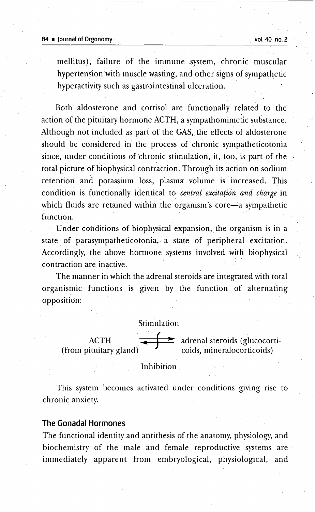mellitus}, failure of the immune system, chronic muscular hypertension with muscle wasting, and other signs of sympathetic hyperactivity such as gastrointestinal ulceration.

Both aldosterone and cortisol are functionally related to· the action of the pituitary hormone ACTH, a sympathomimetic substance. Although not included as part of the GAS, the effects of aldosterone should be considered in the process of chronic sympatheticotonia. since, under conditions of chronic stimulation, it, too, is part of the total picture of biophysical contraction. Through its action on sodium retention and potassium loss, plasma volume is increased. This condition is functionally identical to *central excitation and charge* in which fluids are retained within the organism's core-a sympathetic function.

Under conditions of biophysical expansion, the organism is in a state of parasympatheticotonia, a state of peripheral excitation. Accordingly, the above hormone systems involved with biophysical contraction are inactive.

The manner in which the adrenal steroids are integrated with total organismic functions is given by the function of alternating opposition:

#### Stimulation

ACTH<br>(from pituitary gland)  $rac{\text{Stimu}}{\text{S}}$ adrenal steroids (glucocorti coids, mineralocorticoids)

Inhibition.

This system becomes activated under conditions giving rise to chronic anxiety.

#### **The Gonadal Hormones**

The functional identity and antithesis of the anatomy, physiology, and biochemistry of the male and female reproductive systems are : immediately apparent from embryological, physiological, and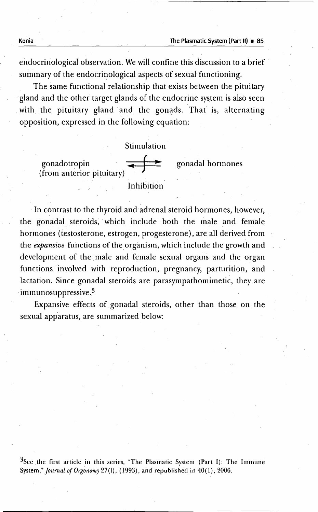Konia **The Plasmatic System (Part II) 85** 

gonadal hormones

endocrinological observation. We will confine this discussion to a brief summary of the endocrinological aspects of sexual functioning.

The same functional relationship that exists between the pituitary gland and the other target glands of the endocrine system is also seen with the pituitary gland and the gonads. That is, alternating opposition, expressed in the following equation:



In contrast to the thyroid and adrenal steroid hormones, however, the gonadal steroids, which include both the male and female hormones (testosterone, estrogen, progesterone), are all derived from the *expansive* functions of the organism, which include the growth and development of the male and female sexual organs and the organ functions involved with reproduction, pregnancy, parturition, and lactation. Since gonadal steroids are parasympathomimetic, they are  $\cdot$ immunosuppressive.<sup>3</sup>

Expansive effects of gonadal steroids, other than those on the sexual apparatus, are summarized below:

<sup>3</sup>See the first article in this series, "The Plasmatic System (Part I): The Immune System," *Journal ojOrgonomy* 27(1), (1993), and republished in 40(1), 2006.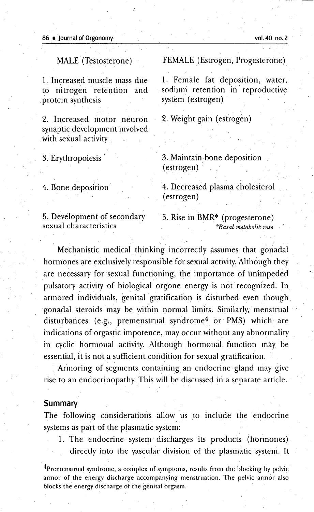MALE (Testosterone)

1. Increased muscle mass due to nitrogen retention and protein synthesis

2. Increased motor neuron synaptic development involved with sexual activity.

3. Erythropoiesis

4. Bone deposition

FEMALE (Estrogen, Progesterone)

1. Female fat deposition, water, sodium retention in reproductive system (estrogen)

2. Weight gain (estrogen)

3. Maintain-bone deposition (estrogen) .

4. Decreased plasma cholesterol (estrogen)

. . .

. The contribution of the contribution of the contribution  $\mathcal{E}^{\mathcal{E}}_{\mathcal{E}}$ 

5. Development of secondary sexual characteristics .

5. Rise in BMR\* (progesterone) *\*Basal metabolic rate*

Mechanistic medical thinking incorrectly assumes that gonadal hormones are exclusively responsible for sexual activity. Although they are necessary for sexual functioning, the importance of unimpeded pulsatory activity of biological orgone energy is not recognized. In armored. individuals, genital gratification is disturbed even though. gonadal steroids may be within normal limits. Similarly. menstrual : disturbances (e.g., premenstrual syndrome<sup>4</sup> or PMS) which are indications of orgastic impotence, may occur without any abnormality in cyclic hormonal activity. Although hormonal function may. be essential, it is not a sufficient condition for sexual gratification.

Armoring of segments containing an-endocrine gland may give rise to an endocrinopathy. This will be discussed in a separate article.

#### **Summary**

The following considerations allow us to include the endocrine systems as part of the plasmatic system:

1. The endocrine system discharges its products (hormones). directly into the vascular division of the plasmatic system. It

<sup>4</sup>Premenstrual syndrome, a complex of symptoms, results from the blocking by pelvic armor of the energy discharge accompanying menstruation. The pelvic armor also blocks the energy discharge of the genital orgasm.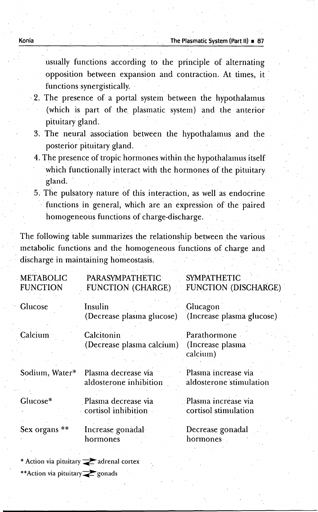usually functions. according to the principle of alternating opposition between expansion and contraction. At times, it : functions·synergistically.

- ··2. The presence of a portal system between the hypothalamus (which is part of the plasmatic system) and the anterior pituitary gland.
	- 3. The neural association between the hypothalamus and the posterior pituitary gland.
	- 4. The presence of tropic hormones within the hypothalamus itself which functionally interact with the hormones of the pituitary gland.
	- 5. The pulsatory nature of this interaction, as well as endocrine functions in general, which are an expression of the paired homogeneous functions of charge-discharge. .

The following table summarizes the relationship between the various. metabolic functions and the homogeneous functions of charge and . discharge in maintaining homeostasis.

| <b>METABOLIC</b><br><b>FUNCTION</b> | <b>PARASYMPATHETIC</b><br><b>FUNCTION (CHARGE)</b> | <b>SYMPATHETIC</b><br><b>FUNCTION (DISCHARGE)</b> |
|-------------------------------------|----------------------------------------------------|---------------------------------------------------|
| Glucose                             | Insulin<br>(Decrease plasma glucose)               | Glucagon<br>(Increase plasma glucose)             |
| Calcium                             | Calcitonin<br>(Decrease plasma calcium)            | Parathormone<br>(Increase plasma)<br>calcium)     |
| Sodium, Water*                      | Plasma decrease via<br>aldosterone inhibition      | Plasma increase via<br>aldosterone stimulation    |
| Glucose*                            | Plasma decrease via<br>cortisol inhibition         | Plasma increase via<br>cortisol stimulation       |
| Sex organs **                       | Increase gonadal<br>hormones                       | Decrease gonadal<br>hormones .                    |
|                                     |                                                    |                                                   |

\* Action via pituitary  $\geq$  adrenal cortex \*\*Action via pituitary<sub>z</sub>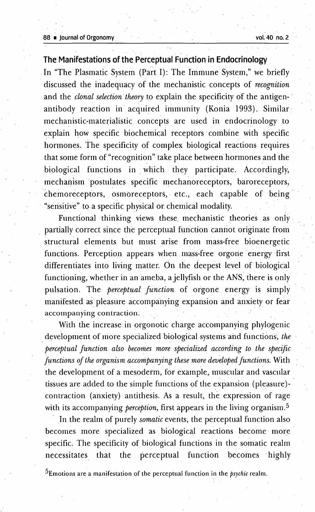#### 88 • Journalof Orgonomy vol.40 no. 2

. The contract of the contract of the contract of the contract of the contract of the contract of the contract of the contract of the contract of the contract of the contract of the contract of the contract of the contrac

#### **The Manifestations ofthePerceptual Function in Endocrinology**

. The contribution of the contribution of the contribution of the contribution of the contribution of the contribution of the contribution of the contribution of the contribution of the contribution of the contribution of

. In "The Plasmatic System (Part I): The Immune System," we briefly discussed the inadequacy of the mechanistic concepts of *recognition* and the *clonal selection theory* to explain the specificity of the antigen- . antibody reaction in acquired immunity (Konia 1993). Similar. mechanistic-materialistic concepts are used in endocrinology to .explain how specific biochemical receptors combine with specific hormones. The specificity of complex biological reactions requires that some form of"recognition" take place between hormones and the biological functions in. which they participate. Accordingly, mechanism ipostulates specific mechanoreceptors, baroreceptors, chemoreceptors, osmoreceptors, etc., each capable of being "sensitive" to a specific physical or chemical modality.

Functional thinking views these mechanistic theories as only partially correct since the perceptual function cannot originate from structural elements but must arise from mass-free bioenergetic functions. Perception appears when mass-free orgone energy first differentiates into living matter. On the deepest level of biological functioning, whether in an ameba, a jellyfish or the ANS, there is only pulsation. The *perceptual function* of orgone energy is simply manifested as pleasure accompanying expansion and anxiety or fear accompanying contraction;

With the increase in orgonotic charge accompanying phylogenic . development of more specialized biological systems 'and functions, *the perceptual function also becomes more specialized according to. the specific functions of the organism accompanying these more developed functions.* With the development of a mesoderm, for example, muscular and vascular tissues are added to the simple functions of the expansion (pleasure) contraction (anxiety) antithesis. As a result, the expression of rage with its accompanying *perception*, first appears in the living organism.<sup>5</sup>

In the realm of purely *somatic* events, the perceptual function also becomes more specialized as biological reactions become more specific. The specificity of biological functions in the somatic realm necessitates that the perceptual function becomes highly

5Emotions are a manifestation of the perceptual function in the *psychic* realm.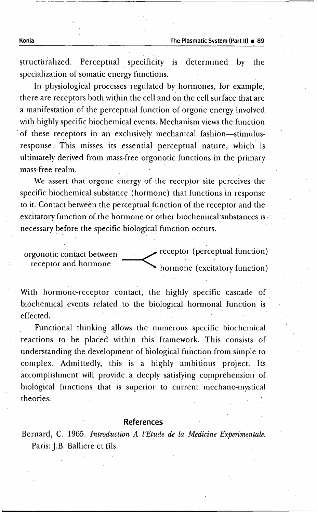structuralized. Perceptual specificity is determined by the specialization of somatic energy functions.'

In physiological processes regulated by hormones, for example, there are receptors both within the cell and on the cell surface that are a manifestation of the perceptual function of orgone energy involved with highly specific biochemical events. Mechanism views the function of these receptors in an exclusively mechanical fashion-stimulusresponse. This misses its essential perceptual nature, which is ultimately derived from mass-free orgonotic functions in the primary mass-free realm.

We assert that orgone energy of the receptor site perceives the specific biochemical substance (hormone) that functions in response to it. Contact between the perceptual function of the receptor and the excitatory function of the hormone or other biochemical substances is necessary before the specific biological function occurs.

orgonotic contact between receptor (perceptual function) receptor and hormone hormone hormone (excitatory function)

With hormone-receptor contact, the highly specific cascade of biochemical events related to the biological hormonal function is effected.

Functional thinking allows the numerous specific biochemical reactions to' be placed within this framework. This consists of understanding the development of biological function from simple- to complex. Admittedly, this is a highly ambitious project; Its accomplishment will provide a deeply satisfying comprehension of biological functions that is superior to current mechano-mystical theories.

#### **References**

Bernard, C. 1965. *Introduction A l'Etude de la Medicine Experimentale.* Paris: J.B. Balliere et fils.